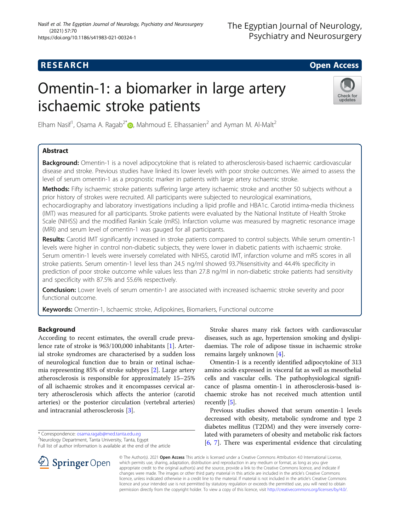## **RESEARCH CHILD CONTROL** CONTROL CONTROL CONTROL CONTROL CONTROL CONTROL CONTROL CONTROL CONTROL CONTROL CONTROL

# Omentin-1: a biomarker in large artery ischaemic stroke patients



Elham Nasif<sup>1</sup>, Osama A. Ragab<sup>2\*</sup> $\textsf{D}$ , Mahmoud E. Elhassanien<sup>2</sup> and Ayman M. Al-Malt<sup>2</sup>

### Abstract

Background: Omentin-1 is a novel adipocytokine that is related to atherosclerosis-based ischaemic cardiovascular disease and stroke. Previous studies have linked its lower levels with poor stroke outcomes. We aimed to assess the level of serum omentin-1 as a prognostic marker in patients with large artery ischaemic stroke.

Methods: Fifty ischaemic stroke patients suffering large artery ischaemic stroke and another 50 subjects without a prior history of strokes were recruited. All participants were subjected to neurological examinations,

echocardiography and laboratory investigations including a lipid profile and HBA1c. Carotid intima-media thickness (IMT) was measured for all participants. Stroke patients were evaluated by the National Institute of Health Stroke Scale (NIHSS) and the modified Rankin Scale (mRS). Infarction volume was measured by magnetic resonance image (MRI) and serum level of omentin-1 was gauged for all participants.

Results: Carotid IMT significantly increased in stroke patients compared to control subjects. While serum omentin-1 levels were higher in control non-diabetic subjects, they were lower in diabetic patients with ischaemic stroke. Serum omentin-1 levels were inversely correlated with NIHSS, carotid IMT, infarction volume and mRS scores in all stroke patients. Serum omentin-1 level less than 24.5 ng/ml showed 93.7%sensitivity and 44.4% specificity in prediction of poor stroke outcome while values less than 27.8 ng/ml in non-diabetic stroke patients had sensitivity and specificity with 87.5% and 55.6% respectively.

Conclusion: Lower levels of serum omentin-1 are associated with increased ischaemic stroke severity and poor functional outcome.

Keywords: Omentin-1, Ischaemic stroke, Adipokines, Biomarkers, Functional outcome

#### Background

According to recent estimates, the overall crude prevalence rate of stroke is 963/100,000 inhabitants [[1\]](#page-6-0). Arterial stroke syndromes are characterised by a sudden loss of neurological function due to brain or retinal ischaemia representing 85% of stroke subtypes [\[2](#page-6-0)]. Large artery atherosclerosis is responsible for approximately 15–25% of all ischaemic strokes and it encompasses cervical artery atherosclerosis which affects the anterior (carotid arteries) or the posterior circulation (vertebral arteries) and intracranial atherosclerosis [\[3](#page-6-0)].

Full list of author information is available at the end of the article



Stroke shares many risk factors with cardiovascular diseases, such as age, hypertension smoking and dyslipidaemias. The role of adipose tissue in ischaemic stroke remains largely unknown [\[4](#page-6-0)].

Omentin-1 is a recently identified adipocytokine of 313 amino acids expressed in visceral fat as well as mesothelial cells and vascular cells. The pathophysiological significance of plasma omentin-1 in atherosclerosis-based ischaemic stroke has not received much attention until recently [\[5\]](#page-6-0).

Previous studies showed that serum omentin-1 levels decreased with obesity, metabolic syndrome and type 2 diabetes mellitus (T2DM) and they were inversely correlated with parameters of obesity and metabolic risk factors [[6,](#page-6-0) [7\]](#page-6-0). There was experimental evidence that circulating

© The Author(s). 2021 Open Access This article is licensed under a Creative Commons Attribution 4.0 International License, which permits use, sharing, adaptation, distribution and reproduction in any medium or format, as long as you give appropriate credit to the original author(s) and the source, provide a link to the Creative Commons licence, and indicate if changes were made. The images or other third party material in this article are included in the article's Creative Commons licence, unless indicated otherwise in a credit line to the material. If material is not included in the article's Creative Commons licence and your intended use is not permitted by statutory regulation or exceeds the permitted use, you will need to obtain permission directly from the copyright holder. To view a copy of this licence, visit <http://creativecommons.org/licenses/by/4.0/>.

<sup>\*</sup> Correspondence: [osama.ragab@med.tanta.edu.eg](mailto:osama.ragab@med.tanta.edu.eg) <sup>2</sup>

<sup>&</sup>lt;sup>2</sup>Neurology Department, Tanta University, Tanta, Egypt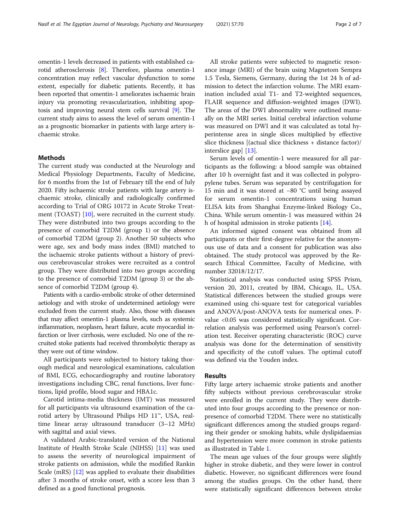omentin-1 levels decreased in patients with established carotid atherosclerosis [\[8](#page-6-0)]. Therefore, plasma omentin-1 concentration may reflect vascular dysfunction to some extent, especially for diabetic patients. Recently, it has been reported that omentin-1 ameliorates ischaemic brain injury via promoting revascularization, inhibiting apoptosis and improving neural stem cells survival [[9](#page-6-0)]. The current study aims to assess the level of serum omentin-1 as a prognostic biomarker in patients with large artery ischaemic stroke.

#### Methods

The current study was conducted at the Neurology and Medical Physiology Departments, Faculty of Medicine, for 6 months from the 1st of February till the end of July 2020. Fifty ischaemic stroke patients with large artery ischaemic stroke, clinically and radiologically confirmed according to Trial of ORG 10172 in Acute Stroke Treatment (TOAST) [\[10\]](#page-6-0), were recruited in the current study. They were distributed into two groups according to the presence of comorbid T2DM (group 1) or the absence of comorbid T2DM (group 2). Another 50 subjects who were age, sex and body mass index (BMI) matched to the ischaemic stroke patients without a history of previous cerebrovascular strokes were recruited as a control group. They were distributed into two groups according to the presence of comorbid T2DM (group 3) or the absence of comorbid T2DM (group 4).

Patients with a cardio-embolic stroke of other determined aetiology and with stroke of undetermined aetiology were excluded from the current study. Also, those with diseases that may affect omentin-1 plasma levels, such as systemic inflammation, neoplasm, heart failure, acute myocardial infarction or liver cirrhosis, were excluded. No one of the recruited stoke patients had received thrombolytic therapy as they were out of time window.

All participants were subjected to history taking thorough medical and neurological examinations, calculation of BMI, ECG, echocardiography and routine laboratory investigations including CBC, renal functions, liver functions, lipid profile, blood sugar and HBA1c.

Carotid intima-media thickness (IMT) was measured for all participants via ultrasound examination of the carotid artery by Ultrasound Philips HD 11™, USA, realtime linear array ultrasound transducer (3–12 MHz) with sagittal and axial views.

A validated Arabic-translated version of the National Institute of Health Stroke Scale (NIHSS) [[11](#page-6-0)] was used to assess the severity of neurological impairment of stroke patients on admission, while the modified Rankin Scale (mRS) [\[12\]](#page-6-0) was applied to evaluate their disabilities after 3 months of stroke onset, with a score less than 3 defined as a good functional prognosis.

All stroke patients were subjected to magnetic resonance image (MRI) of the brain using Magnetom Sempra 1.5 Tesla, Siemens, Germany, during the 1st 24 h of admission to detect the infarction volume. The MRI examination included axial T1- and T2-weighted sequences, FLAIR sequence and diffusion-weighted images (DWI). The areas of the DWI abnormality were outlined manually on the MRI series. Initial cerebral infarction volume was measured on DWI and it was calculated as total hyperintense area in single slices multiplied by effective slice thickness [(actual slice thickness + distance factor)/ interslice gap] [\[13\]](#page-6-0).

Serum levels of omentin-1 were measured for all participants as the following: a blood sample was obtained after 10 h overnight fast and it was collected in polypropylene tubes. Serum was separated by centrifugation for 15 min and it was stored at −80 °C until being assayed for serum omentin-1 concentrations using human ELISA kits from Shanghai Enzyme-linked Biology Co., China. While serum omentin-1 was measured within 24 h of hospital admission in stroke patients [[14\]](#page-6-0).

An informed signed consent was obtained from all participants or their first-degree relative for the anonymous use of data and a consent for publication was also obtained. The study protocol was approved by the Research Ethical Committee, Faculty of Medicine, with number 32018/12/17.

Statistical analysis was conducted using SPSS Prism, version 20, 2011, created by IBM, Chicago, IL, USA. Statistical differences between the studied groups were examined using chi-square test for categorical variables and ANOVA/post-ANOVA tests for numerical ones. Pvalue <0.05 was considered statistically significant. Correlation analysis was performed using Pearson's correlation test. Receiver operating characteristic (ROC) curve analysis was done for the determination of sensitivity and specificity of the cutoff values. The optimal cutoff was defined via the Youden index.

#### Results

Fifty large artery ischaemic stroke patients and another fifty subjects without previous cerebrovascular stroke were enrolled in the current study. They were distributed into four groups according to the presence or nonpresence of comorbid T2DM. There were no statistically significant differences among the studied groups regarding their gender or smoking habits, while dyslipidaemias and hypertension were more common in stroke patients as illustrated in Table [1](#page-2-0).

The mean age values of the four groups were slightly higher in stroke diabetic, and they were lower in control diabetic. However, no significant differences were found among the studies groups. On the other hand, there were statistically significant differences between stroke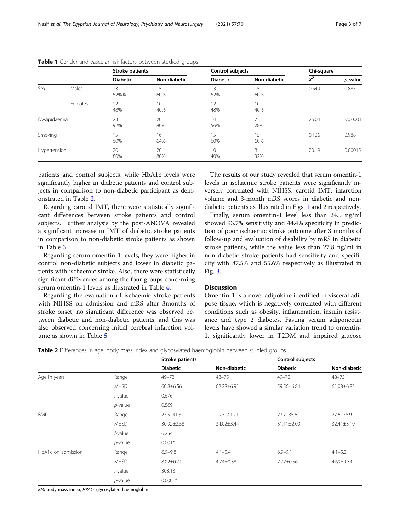|               |         | <b>Stroke patients</b> |              | Control subjects |                       | Chi-square |          |
|---------------|---------|------------------------|--------------|------------------|-----------------------|------------|----------|
|               |         | <b>Diabetic</b>        | Non-diabetic | <b>Diabetic</b>  | Non-diabetic          | $X^2$      | p-value  |
| Sex           | Males   | '3<br>52%%             | 15<br>60%    | 13<br>52%        | 15<br>60%             | 0.649      | 0.885    |
|               | Females | 12<br>48%              | 10<br>40%    | 12<br>48%        | 10<br>40%             |            |          |
| Dyslipidaemia |         | 23<br>92%              | 20<br>80%    | 14<br>56%        | $\overline{7}$<br>28% | 26.04      | < 0.0001 |
| Smoking       |         | 15<br>60%              | 16<br>64%    | 15<br>60%        | 15<br>60%             | 0.126      | 0.988    |
| Hypertension  |         | 20<br>80%              | 20<br>80%    | 10<br>40%        | 8<br>32%              | 20.19      | 0.00015  |

<span id="page-2-0"></span>

|  |  |  |  |  |  | Table 1 Gender and vascular risk factors between studied groups |  |  |
|--|--|--|--|--|--|-----------------------------------------------------------------|--|--|
|--|--|--|--|--|--|-----------------------------------------------------------------|--|--|

patients and control subjects, while HbA1c levels were significantly higher in diabetic patients and control subjects in comparison to non-diabetic participant as demonstrated in Table 2.

Regarding carotid IMT, there were statistically significant differences between stroke patients and control subjects. Further analysis by the post-ANOVA revealed a significant increase in IMT of diabetic stroke patients in comparison to non-diabetic stroke patients as shown in Table [3](#page-3-0).

Regarding serum omentin-1 levels, they were higher in control non-diabetic subjects and lower in diabetic patients with ischaemic stroke. Also, there were statistically significant differences among the four groups concerning serum omentin-1 levels as illustrated in Table [4](#page-3-0).

Regarding the evaluation of ischaemic stroke patients with NIHSS on admission and mRS after 3months of stroke onset, no significant difference was observed between diabetic and non-diabetic patients, and this was also observed concerning initial cerebral infarction volume as shown in Table [5.](#page-3-0)

The results of our study revealed that serum omentin-1 levels in ischaemic stroke patients were significantly inversely correlated with NIHSS, carotid IMT, infarction volume and 3-month mRS scores in diabetic and nondiabetic patients as illustrated in Figs. [1](#page-4-0) and [2](#page-4-0) respectively.

Finally, serum omentin-1 level less than 24.5 ng/ml showed 93.7% sensitivity and 44.4% specificity in prediction of poor ischaemic stroke outcome after 3 months of follow-up and evaluation of disability by mRS in diabetic stroke patients, while the value less than 27.8 ng/ml in non-diabetic stroke patients had sensitivity and specificity with 87.5% and 55.6% respectively as illustrated in Fig. [3](#page-5-0).

#### **Discussion**

Omentin-1 is a novel adipokine identified in visceral adipose tissue, which is negatively correlated with different conditions such as obesity, inflammation, insulin resistance and type 2 diabetes. Fasting serum adiponectin levels have showed a similar variation trend to omentin-1, significantly lower in T2DM and impaired glucose

| Table 2 Differences in age, body mass index and glycosylated haemoglobin between studied groups |  |  |
|-------------------------------------------------------------------------------------------------|--|--|
|                                                                                                 |  |  |

|                                                           |            | <b>Stroke patients</b> |                  | Control subjects |                 |
|-----------------------------------------------------------|------------|------------------------|------------------|------------------|-----------------|
|                                                           |            | <b>Diabetic</b>        | Non-diabetic     | <b>Diabetic</b>  | Non-diabetio    |
| Age in years                                              | Range      | $49 - 72$              | $48 - 75$        | $49 - 72$        | $48 - 75$       |
|                                                           | M±SD       | $60.8 \pm 6.56$        | $62.28 \pm 6.91$ | 59.56±6.84       | 61.08±6.83      |
|                                                           | f-value    | 0.676                  |                  |                  |                 |
|                                                           | $p$ -value | 0.569                  |                  |                  |                 |
| <b>BMI</b>                                                | Range      | $27.5 - 41.3$          | 29.7-41.21       | $27.7 - 35.6$    | $27.6 - 38.9$   |
|                                                           | $M\pm SD$  | 30.92±2.58             | 34.02±3.44       | 31.11±2.00       | 32.41±3.19      |
|                                                           | f-value    | 6.254                  |                  |                  |                 |
|                                                           | $p$ -value | $0.001*$               |                  |                  |                 |
| HbA1c on admission                                        | Range      | $6.9 - 9.8$            | $4.1 - 5.4$      | $6.9 - 9.1$      | $4.1 - 5.2$     |
|                                                           | $M\pm SD$  | $8.02 \pm 0.71$        | 4.74±0.38        | 7.77±0.56        | $4.69 \pm 0.34$ |
|                                                           | f-value    | 308.13                 |                  |                  |                 |
|                                                           | $p$ -value | $0.0001*$              |                  |                  |                 |
| <b>DMI</b> body mass indov. UDA1s alwaeviated basmoslabin |            |                        |                  |                  |                 |

BMI body mass index, HBA1c glycosylated haemoglobin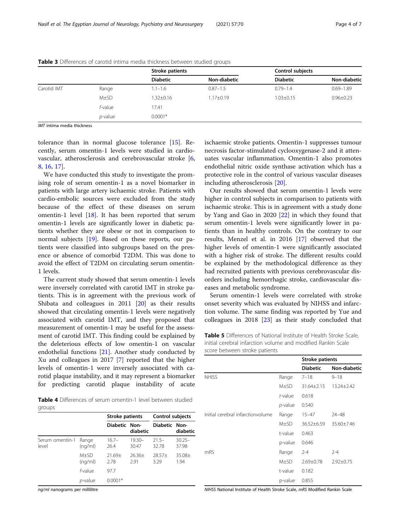|                                                                                                                                                                                                                                                                                                                     |            | Stroke patients |                 | Control subjects |                     |  |
|---------------------------------------------------------------------------------------------------------------------------------------------------------------------------------------------------------------------------------------------------------------------------------------------------------------------|------------|-----------------|-----------------|------------------|---------------------|--|
|                                                                                                                                                                                                                                                                                                                     |            | <b>Diabetic</b> | Non-diabetic    | <b>Diabetic</b>  | <b>Non-diabetic</b> |  |
| Carotid IMT                                                                                                                                                                                                                                                                                                         | Range      | $1.1 - 1.6$     | $0.87 - 1.5$    | $0.79 - 1.4$     | $0.69 - 1.89$       |  |
|                                                                                                                                                                                                                                                                                                                     | $M\pm SD$  | $1.32 \pm 0.16$ | $1.17 \pm 0.19$ | $1.03 \pm 0.15$  | $0.96 \pm 0.23$     |  |
|                                                                                                                                                                                                                                                                                                                     | f-value    | 17.41           |                 |                  |                     |  |
|                                                                                                                                                                                                                                                                                                                     | $p$ -value | $0.0001*$       |                 |                  |                     |  |
| $\frac{1}{2}$ $\frac{1}{2}$ $\frac{1}{2}$ $\frac{1}{2}$ $\frac{1}{2}$ $\frac{1}{2}$ $\frac{1}{2}$ $\frac{1}{2}$ $\frac{1}{2}$ $\frac{1}{2}$ $\frac{1}{2}$ $\frac{1}{2}$ $\frac{1}{2}$ $\frac{1}{2}$ $\frac{1}{2}$ $\frac{1}{2}$ $\frac{1}{2}$ $\frac{1}{2}$ $\frac{1}{2}$ $\frac{1}{2}$ $\frac{1}{2}$ $\frac{1}{2}$ |            |                 |                 |                  |                     |  |

<span id="page-3-0"></span>Table 3 Differences of carotid intima media thickness between studied groups

IMT intima media thickness

tolerance than in normal glucose tolerance [[15](#page-6-0)]. Recently, serum omentin-1 levels were studied in cardiovascular, atherosclerosis and cerebrovascular stroke [[6](#page-6-0), [8,](#page-6-0) [16](#page-6-0), [17](#page-6-0)].

We have conducted this study to investigate the promising role of serum omentin-1 as a novel biomarker in patients with large artery ischaemic stroke. Patients with cardio-embolic sources were excluded from the study because of the effect of these diseases on serum omentin-1 level [[18\]](#page-6-0). It has been reported that serum omentin-1 levels are significantly lower in diabetic patients whether they are obese or not in comparison to normal subjects [[19](#page-6-0)]. Based on these reports, our patients were classified into subgroups based on the presence or absence of comorbid T2DM. This was done to avoid the effect of T2DM on circulating serum omentin-1 levels.

The current study showed that serum omentin-1 levels were inversely correlated with carotid IMT in stroke patients. This is in agreement with the previous work of Shibata and colleagues in 2011 [[20\]](#page-6-0) as their results showed that circulating omentin-1 levels were negatively associated with carotid IMT, and they proposed that measurement of omentin-1 may be useful for the assessment of carotid IMT. This finding could be explained by the deleterious effects of low omentin-1 on vascular endothelial functions [\[21\]](#page-6-0). Another study conducted by Xu and colleagues in 2017 [\[7](#page-6-0)] reported that the higher levels of omentin-1 were inversely associated with carotid plaque instability, and it may represent a biomarker for predicting carotid plaque instability of acute

Table 4 Differences of serum omentin-1 level between studied groups

|                          |                   | <b>Stroke patients</b> |                    | <b>Control subjects</b> |                    |
|--------------------------|-------------------|------------------------|--------------------|-------------------------|--------------------|
|                          |                   | Diabetic Non-          | diabetic           | Diabetic Non-           | diabetic           |
| Serum omentin-1<br>level | Range<br>(nq/ml)  | $16.7-$<br>26.4        | $19.30 -$<br>30.47 | $215-$<br>32.78         | $30.25 -$<br>37.98 |
|                          | $M+SD$<br>(nq/ml) | $21.69+$<br>2.78       | $26.36+$<br>2.91   | $28.57+$<br>3.29        | $35.08+$<br>1.94   |
|                          | f-value           | 97.7                   |                    |                         |                    |
|                          | p-value           | $0.0001*$              |                    |                         |                    |

ng/ml nanograms per millilitre

ischaemic stroke patients. Omentin-1 suppresses tumour necrosis factor-stimulated cyclooxygenase-2 and it attenuates vascular inflammation. Omentin-1 also promotes endothelial nitric oxide synthase activation which has a protective role in the control of various vascular diseases including atherosclerosis [\[20\]](#page-6-0).

Our results showed that serum omentin-1 levels were higher in control subjects in comparison to patients with ischaemic stroke. This is in agreement with a study done by Yang and Gao in 2020 [\[22](#page-6-0)] in which they found that serum omentin-1 levels were significantly lower in patients than in healthy controls. On the contrary to our results, Menzel et al. in 2016 [\[17\]](#page-6-0) observed that the higher levels of omentin-1 were significantly associated with a higher risk of stroke. The different results could be explained by the methodological difference as they had recruited patients with previous cerebrovascular disorders including hemorrhagic stroke, cardiovascular diseases and metabolic syndrome.

Serum omentin-1 levels were correlated with stroke onset severity which was evaluated by NIHSS and infarction volume. The same finding was reported by Yue and colleagues in 2018  $[23]$  $[23]$  $[23]$  as their study concluded that

| Table 5 Differences of National Institute of Health Stroke Scale, |  |
|-------------------------------------------------------------------|--|
| initial cerebral infarction volume and modified Rankin Scale      |  |
| score between stroke patients                                     |  |

|                                   |            | <b>Stroke patients</b> |                     |
|-----------------------------------|------------|------------------------|---------------------|
|                                   |            | <b>Diabetic</b>        | <b>Non-diabetic</b> |
| <b>NHISS</b>                      | Range      | $7 - 18$               | $9 - 18$            |
|                                   | M±SD       | $31.64 \pm 2.15$       | $13.24 \pm 2.42$    |
|                                   | $t$ -value | 0.618                  |                     |
|                                   | p-value    | 0.540                  |                     |
| Initial cerebral infarctionvolume | Range      | $15 - 47$              | 24-48               |
|                                   | $M\pm SD$  | 36.52±6.59             | 35.60±7.46          |
|                                   | t-value    | 0.463                  |                     |
|                                   | p-value    | 0.646                  |                     |
| mRS                               | Range      | $2 - 4$                | $2 - 4$             |
|                                   | M±SD       | $2.69 \pm 0.78$        | $2.92 \pm 0.75$     |
|                                   | t-value    | 0.182                  |                     |
|                                   | p-value    | 0.855                  |                     |

NIHSS National Institute of Health Stroke Scale, mRS Modified Rankin Scale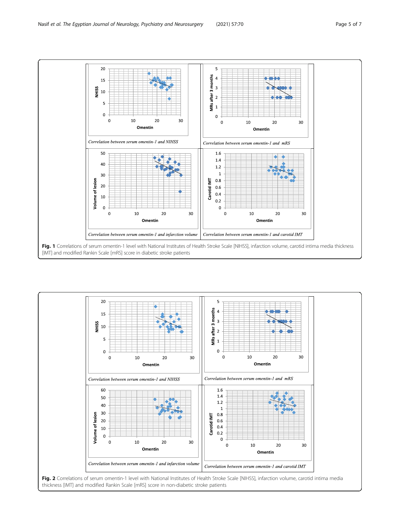<span id="page-4-0"></span>



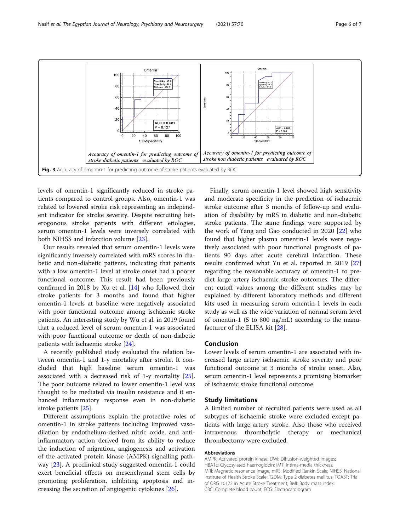<span id="page-5-0"></span>

levels of omentin-1 significantly reduced in stroke patients compared to control groups. Also, omentin-1 was related to lowered stroke risk representing an independent indicator for stroke severity. Despite recruiting heterogonous stroke patients with different etiologies, serum omentin-1 levels were inversely correlated with both NIHSS and infarction volume [\[23](#page-6-0)].

Our results revealed that serum omentin-1 levels were significantly inversely correlated with mRS scores in diabetic and non-diabetic patients, indicating that patients with a low omentin-1 level at stroke onset had a poorer functional outcome. This result had been previously confirmed in 2018 by Xu et al. [[14\]](#page-6-0) who followed their stroke patients for 3 months and found that higher omentin-1 levels at baseline were negatively associated with poor functional outcome among ischaemic stroke patients. An interesting study by Wu et al. in 2019 found that a reduced level of serum omentin-1 was associated with poor functional outcome or death of non-diabetic patients with ischaemic stroke [[24](#page-6-0)].

A recently published study evaluated the relation between omentin-1 and 1-y mortality after stroke. It concluded that high baseline serum omentin-1 was associated with a decreased risk of 1-y mortality [\[25](#page-6-0)]. The poor outcome related to lower omentin-1 level was thought to be mediated via insulin resistance and it enhanced inflammatory response even in non-diabetic stroke patients [[25\]](#page-6-0).

Different assumptions explain the protective roles of omentin-1 in stroke patients including improved vasodilation by endothelium-derived nitric oxide, and antiinflammatory action derived from its ability to reduce the induction of migration, angiogenesis and activation of the activated protein kinase (AMPK) signalling pathway [[23\]](#page-6-0). A preclinical study suggested omentin-1 could exert beneficial effects on mesenchymal stem cells by promoting proliferation, inhibiting apoptosis and increasing the secretion of angiogenic cytokines [\[26](#page-6-0)].

Finally, serum omentin-1 level showed high sensitivity and moderate specificity in the prediction of ischaemic stroke outcome after 3 months of follow-up and evaluation of disability by mRS in diabetic and non-diabetic stroke patients. The same findings were supported by the work of Yang and Gao conducted in 2020 [[22](#page-6-0)] who found that higher plasma omentin-1 levels were negatively associated with poor functional prognosis of patients 90 days after acute cerebral infarction. These results confirmed what Yu et al. reported in 2019 [[27](#page-6-0)] regarding the reasonable accuracy of omentin-1 to predict large artery ischaemic stroke outcomes. The different cutoff values among the different studies may be explained by different laboratory methods and different kits used in measuring serum omentin-1 levels in each study as well as the wide variation of normal serum level of omentin-1 (5 to 800 ng/mL) according to the manufacturer of the ELISA kit [\[28](#page-6-0)].

#### Conclusion

Lower levels of serum omentin-1 are associated with increased large artery ischaemic stroke severity and poor functional outcome at 3 months of stroke onset. Also, serum omentin-1 level represents a promising biomarker of ischaemic stroke functional outcome

#### Study limitations

A limited number of recruited patients were used as all subtypes of ischaemic stroke were excluded except patients with large artery stroke. Also those who received intravenous thrombolytic therapy or mechanical thrombectomy were excluded.

#### Abbreviations

AMPK: Activated protein kinase; DWI: Diffusion-weighted images; HBA1c: Glycosylated haemoglobin; IMT: Intima-media thickness; MRI: Magnetic resonance image; mRS: Modified Rankin Scale; NIHSS: National Institute of Health Stroke Scale; T2DM: Type 2 diabetes mellitus; TOAST: Trial of ORG 10172 in Acute Stroke Treatment; BMI: Body mass index; CBC: Complete blood count; ECG: Electrocardiogram